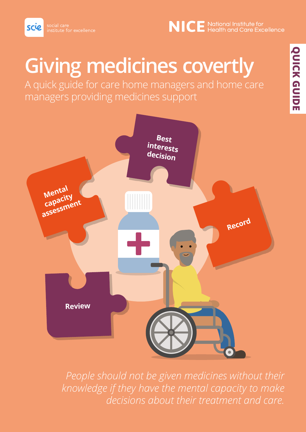

# **Giving medicines covertly**

A quick guide for care home managers and home care managers providing medicines support



*People should not be given medicines without their knowledge if they have the mental capacity to make decisions about their treatment and care.*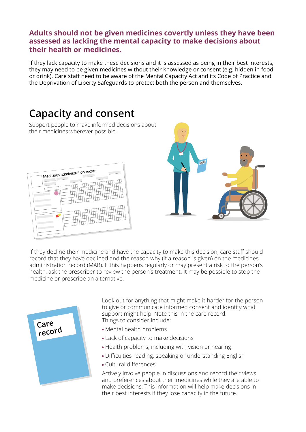### **Adults should not be given medicines covertly unless they have been assessed as lacking the mental capacity to make decisions about their health or medicines.**

If they lack capacity to make these decisions and it is assessed as being in their best interests, they may need to be given medicines without their knowledge or consent (e.g. hidden in food or drink). Care staff need to be aware of the Mental Capacity Act and its Code of Practice and the Deprivation of Liberty Safeguards to protect both the person and themselves.

## **Capacity and consent**

Support people to make informed decisions about their medicines wherever possible.





If they decline their medicine and have the capacity to make this decision, care staff should record that they have declined and the reason why (if a reason is given) on the medicines administration record (MAR). If this happens regularly or may present a risk to the person's health, ask the prescriber to review the person's treatment. It may be possible to stop the medicine or prescribe an alternative.



Look out for anything that might make it harder for the person to give or communicate informed consent and identify what support might help. Note this in the care record. Things to consider include:

- Mental health problems
- Lack of capacity to make decisions
- Health problems, including with vision or hearing
- Difficulties reading, speaking or understanding English
- Cultural differences

Actively involve people in discussions and record their views and preferences about their medicines while they are able to make decisions. This information will help make decisions in their best interests if they lose capacity in the future.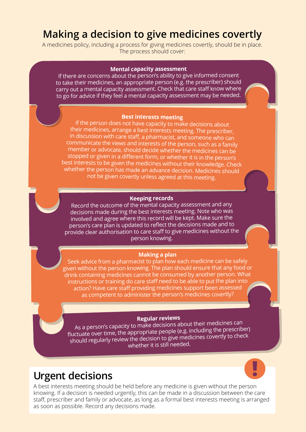## **Making a decision to give medicines covertly**

A medicines policy, including a process for giving medicines covertly, should be in place. The process should cover:

#### **Mental capacity assessment**

If there are concerns about the person's ability to give informed consent to take their medicines, an appropriate person (e.g. the prescriber) should carry out a mental capacity assessment. Check that care staff know where to go for advice if they feel a mental capacity assessment may be needed.

#### **Best interests meeting**

If the person does not have capacity to make decisions about their medicines, arrange a best interests meeting. The prescriber, in discussion with care staff, a pharmacist, and someone who can communicate the views and interests of the person, such as a family member or advocate, should decide whether the medicines can be stopped or given in a different form, or whether it is in the person's best interests to be given the medicines without their knowledge. Check whether the person has made an advance decision. Medicines should not be given covertly unless agreed at this meeting.

#### **Keeping records**

Record the outcome of the mental capacity assessment and any decisions made during the best interests meeting. Note who was involved and agree where this record will be kept. Make sure the person's care plan is updated to reflect the decisions made and to provide clear authorisation to care staff to give medicines without the person knowing.

#### **Making a plan**

Seek advice from a pharmacist to plan how each medicine can be safely <sup>g</sup>iven without the person knowing. The plan should ensure that any food or drink containing medicines cannot be consumed by another person. What instructions or training do care staff need to be able to put the plan into action? Have care staff providing medicines support been assessed as competent to administer the person's medicines covertly?

#### **Regular reviews**

As a person's capacity to make decisions about their medicines can fluctuate over time, the appropriate people (e.g. including the prescriber) should regularly review the decision to give medicines covertly to check whether it is still needed.

## **Urgent decisions**

A best interests meeting should be held before any medicine is given without the person knowing. If a decision is needed urgently, this can be made in a discussion between the care staff, prescriber and family or advocate, as long as a formal best interests meeting is arranged as soon as possible. Record any decisions made.